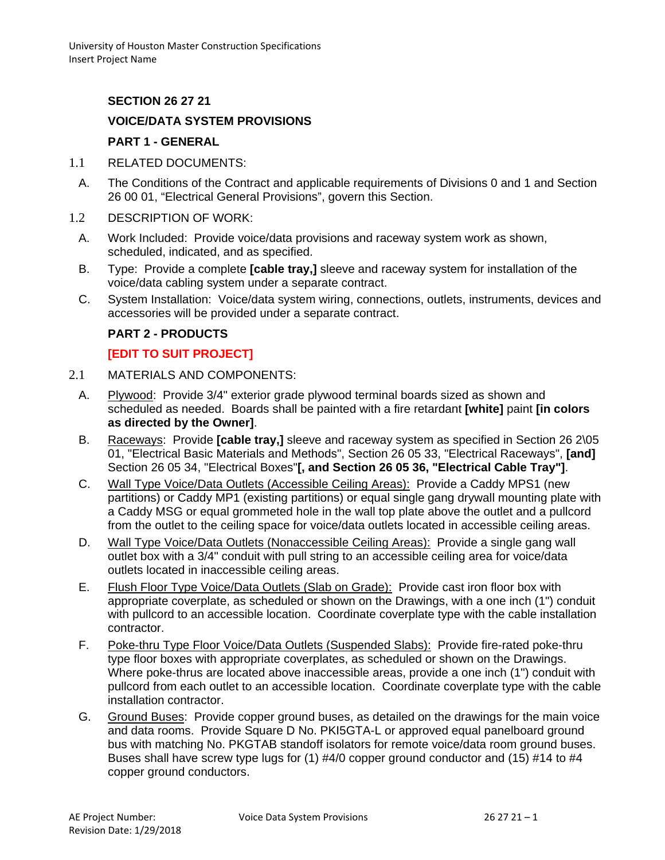## **SECTION 26 27 21**

## **VOICE/DATA SYSTEM PROVISIONS**

#### **PART 1 - GENERAL**

- 1.1 RELATED DOCUMENTS:
	- A. The Conditions of the Contract and applicable requirements of Divisions 0 and 1 and Section 26 00 01, "Electrical General Provisions", govern this Section.
- 1.2 DESCRIPTION OF WORK:
	- A. Work Included: Provide voice/data provisions and raceway system work as shown, scheduled, indicated, and as specified.
	- B. Type: Provide a complete **[cable tray,]** sleeve and raceway system for installation of the voice/data cabling system under a separate contract.
	- C. System Installation: Voice/data system wiring, connections, outlets, instruments, devices and accessories will be provided under a separate contract.

#### **PART 2 - PRODUCTS**

#### **[EDIT TO SUIT PROJECT]**

- 2.1 MATERIALS AND COMPONENTS:
	- A. Plywood: Provide 3/4" exterior grade plywood terminal boards sized as shown and scheduled as needed. Boards shall be painted with a fire retardant **[white]** paint **[in colors as directed by the Owner]**.
	- B. Raceways: Provide **[cable tray,]** sleeve and raceway system as specified in Section 26 2\05 01, "Electrical Basic Materials and Methods", Section 26 05 33, "Electrical Raceways", **[and]** Section 26 05 34, "Electrical Boxes"**[, and Section 26 05 36, "Electrical Cable Tray"]**.
	- C. Wall Type Voice/Data Outlets (Accessible Ceiling Areas): Provide a Caddy MPS1 (new partitions) or Caddy MP1 (existing partitions) or equal single gang drywall mounting plate with a Caddy MSG or equal grommeted hole in the wall top plate above the outlet and a pullcord from the outlet to the ceiling space for voice/data outlets located in accessible ceiling areas.
	- D. Wall Type Voice/Data Outlets (Nonaccessible Ceiling Areas): Provide a single gang wall outlet box with a 3/4" conduit with pull string to an accessible ceiling area for voice/data outlets located in inaccessible ceiling areas.
	- E. Flush Floor Type Voice/Data Outlets (Slab on Grade): Provide cast iron floor box with appropriate coverplate, as scheduled or shown on the Drawings, with a one inch (1") conduit with pullcord to an accessible location. Coordinate coverplate type with the cable installation contractor.
	- F. Poke-thru Type Floor Voice/Data Outlets (Suspended Slabs): Provide fire-rated poke-thru type floor boxes with appropriate coverplates, as scheduled or shown on the Drawings. Where poke-thrus are located above inaccessible areas, provide a one inch (1") conduit with pullcord from each outlet to an accessible location. Coordinate coverplate type with the cable installation contractor.
	- G. Ground Buses: Provide copper ground buses, as detailed on the drawings for the main voice and data rooms. Provide Square D No. PKI5GTA-L or approved equal panelboard ground bus with matching No. PKGTAB standoff isolators for remote voice/data room ground buses. Buses shall have screw type lugs for (1) #4/0 copper ground conductor and (15) #14 to #4 copper ground conductors.